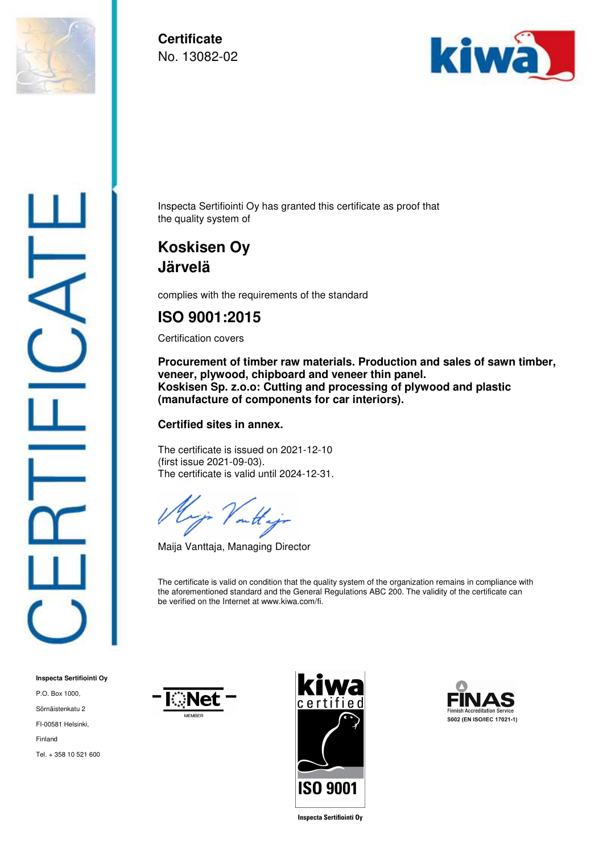

**Certificate**  No. 13082-02



Inspecta Sertifiointi Oy has granted this certificate as proof that the quality system of

## **Koskisen Oy Järvelä**

complies with the requirements of the standard

## **ISO 9001:2015**

Certification covers

**Procurement of timber raw materials. Production and sales of sawn timber, veneer, plywood, chipboard and veneer thin panel. Koskisen Sp. z.o.o: Cutting and processing of plywood and plastic (manufacture of components for car interiors).** 

## **Certified sites in annex.**

The certificate is issued on 2021-12-10 (first issue 2021-09-03). The certificate is valid until 2024-12-31.

 $- a$ 

Maija Vanttaja, Managing Director

The certificate is valid on condition that the quality system of the organization remains in compliance with the aforementioned standard and the General Regulations ABC 200. The validity of the certificate can be verified on the Internet at www.kiwa.com/fi.

**Inspecta Sertifiointi Oy** P.O. Box 1000, Sörnäistenkatu 2 FI-00581 Helsinki, Finland Tel. + 358 10 521 600







**Inspecta Sertifiointi Oy**